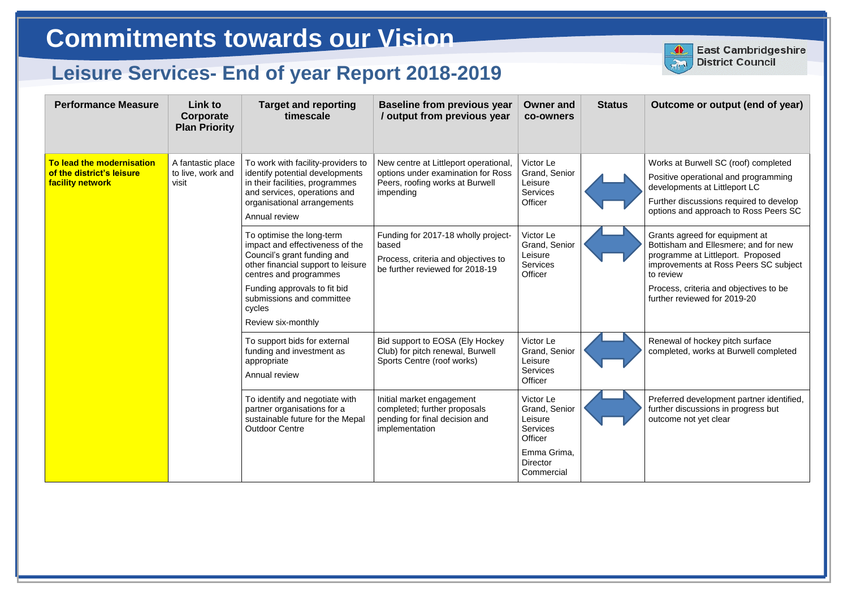| <b>Performance Measure</b>                                                        | Link to<br>Corporate<br><b>Plan Priority</b>    | <b>Target and reporting</b><br>timescale                                                                                                                                                                                                                                                                                                                                                                             | <b>Baseline from previous year</b><br>/ output from previous year                                                                                                                                                                                     | <b>Owner and</b><br>co-owners                                                                                                              | <b>Status</b> | Outcome or output (end of year)                                                                                                                                                                                                                                                                                                                                                                                                                  |
|-----------------------------------------------------------------------------------|-------------------------------------------------|----------------------------------------------------------------------------------------------------------------------------------------------------------------------------------------------------------------------------------------------------------------------------------------------------------------------------------------------------------------------------------------------------------------------|-------------------------------------------------------------------------------------------------------------------------------------------------------------------------------------------------------------------------------------------------------|--------------------------------------------------------------------------------------------------------------------------------------------|---------------|--------------------------------------------------------------------------------------------------------------------------------------------------------------------------------------------------------------------------------------------------------------------------------------------------------------------------------------------------------------------------------------------------------------------------------------------------|
| <b>To lead the modernisation</b><br>of the district's leisure<br>facility network | A fantastic place<br>to live, work and<br>visit | To work with facility-providers to<br>identify potential developments<br>in their facilities, programmes<br>and services, operations and<br>organisational arrangements<br>Annual review<br>To optimise the long-term<br>impact and effectiveness of the<br>Council's grant funding and<br>other financial support to leisure<br>centres and programmes<br>Funding approvals to fit bid<br>submissions and committee | New centre at Littleport operational,<br>options under examination for Ross<br>Peers, roofing works at Burwell<br>impending<br>Funding for 2017-18 wholly project-<br>based<br>Process, criteria and objectives to<br>be further reviewed for 2018-19 | Victor Le<br>Grand, Senior<br>Leisure<br><b>Services</b><br>Officer<br>Victor Le<br>Grand, Senior<br>Leisure<br><b>Services</b><br>Officer |               | Works at Burwell SC (roof) completed<br>Positive operational and programming<br>developments at Littleport LC<br>Further discussions required to develop<br>options and approach to Ross Peers SC<br>Grants agreed for equipment at<br>Bottisham and Ellesmere; and for new<br>programme at Littleport. Proposed<br>improvements at Ross Peers SC subject<br>to review<br>Process, criteria and objectives to be<br>further reviewed for 2019-20 |
|                                                                                   |                                                 | cycles<br>Review six-monthly                                                                                                                                                                                                                                                                                                                                                                                         |                                                                                                                                                                                                                                                       |                                                                                                                                            |               |                                                                                                                                                                                                                                                                                                                                                                                                                                                  |
|                                                                                   |                                                 | To support bids for external<br>funding and investment as<br>appropriate<br>Annual review                                                                                                                                                                                                                                                                                                                            | Bid support to EOSA (Ely Hockey<br>Club) for pitch renewal, Burwell<br>Sports Centre (roof works)                                                                                                                                                     | Victor Le<br>Grand, Senior<br>Leisure<br><b>Services</b><br>Officer                                                                        |               | Renewal of hockey pitch surface<br>completed, works at Burwell completed                                                                                                                                                                                                                                                                                                                                                                         |
|                                                                                   |                                                 | To identify and negotiate with<br>partner organisations for a<br>sustainable future for the Mepal<br><b>Outdoor Centre</b>                                                                                                                                                                                                                                                                                           | Initial market engagement<br>completed; further proposals<br>pending for final decision and<br>implementation                                                                                                                                         | Victor Le<br>Grand, Senior<br>Leisure<br><b>Services</b><br>Officer<br>Emma Grima,<br><b>Director</b><br>Commercial                        |               | Preferred development partner identified,<br>further discussions in progress but<br>outcome not yet clear                                                                                                                                                                                                                                                                                                                                        |



**East Cambridgeshire District Council** 

## **Commitments towards our Vision**

## **Leisure Services- End of year Report 2018-2019**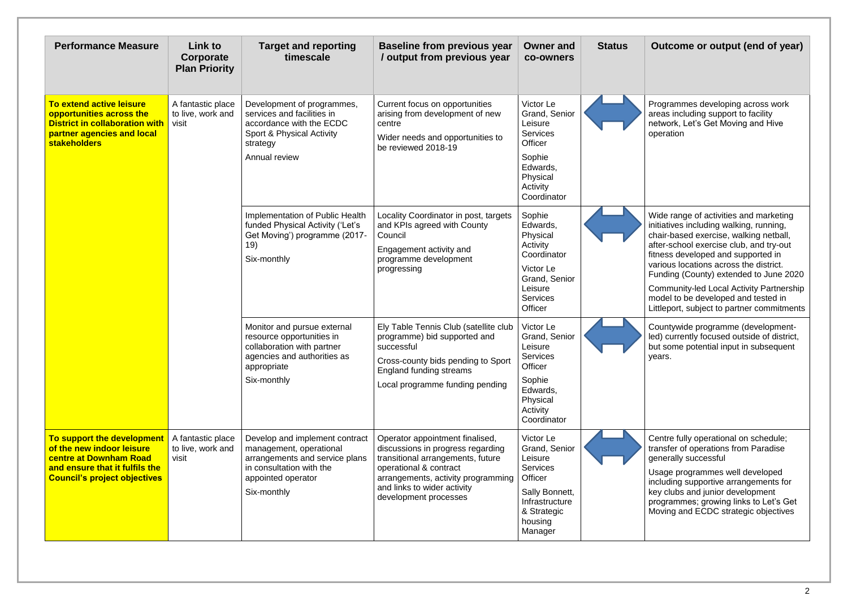| <b>Performance Measure</b>                                                                                                                                 | Link to<br>Corporate<br><b>Plan Priority</b>    | <b>Target and reporting</b><br>timescale                                                                                                                     | <b>Baseline from previous year</b><br>/ output from previous year                                                                                                                                                                 | <b>Owner and</b><br>co-owners                                                                                                                | <b>Status</b> | Outcome or output (end of year)                                                                                                                                                                                                                                                                                                                                                                                                   |
|------------------------------------------------------------------------------------------------------------------------------------------------------------|-------------------------------------------------|--------------------------------------------------------------------------------------------------------------------------------------------------------------|-----------------------------------------------------------------------------------------------------------------------------------------------------------------------------------------------------------------------------------|----------------------------------------------------------------------------------------------------------------------------------------------|---------------|-----------------------------------------------------------------------------------------------------------------------------------------------------------------------------------------------------------------------------------------------------------------------------------------------------------------------------------------------------------------------------------------------------------------------------------|
| To extend active leisure<br>opportunities across the<br><b>District in collaboration with</b><br>partner agencies and local<br><b>stakeholders</b>         | A fantastic place<br>to live, work and<br>visit | Development of programmes,<br>services and facilities in<br>accordance with the ECDC<br>Sport & Physical Activity<br>strategy<br>Annual review               | Current focus on opportunities<br>arising from development of new<br>centre<br>Wider needs and opportunities to<br>be reviewed 2018-19                                                                                            | Victor Le<br>Grand, Senior<br>Leisure<br><b>Services</b><br>Officer<br>Sophie<br>Edwards,<br>Physical<br>Activity<br>Coordinator             |               | Programmes developing across work<br>areas including support to facility<br>network, Let's Get Moving and Hive<br>operation                                                                                                                                                                                                                                                                                                       |
|                                                                                                                                                            |                                                 | Implementation of Public Health<br>funded Physical Activity ('Let's<br>Get Moving') programme (2017-<br>19)<br>Six-monthly                                   | Locality Coordinator in post, targets<br>and KPIs agreed with County<br>Council<br>Engagement activity and<br>programme development<br>progressing                                                                                | Sophie<br>Edwards,<br>Physical<br>Activity<br>Coordinator<br>Victor Le<br>Grand, Senior<br>Leisure<br><b>Services</b><br>Officer             |               | Wide range of activities and marketing<br>initiatives including walking, running,<br>chair-based exercise, walking netball,<br>after-school exercise club, and try-out<br>fitness developed and supported in<br>various locations across the district.<br>Funding (County) extended to June 2020<br>Community-led Local Activity Partnership<br>model to be developed and tested in<br>Littleport, subject to partner commitments |
|                                                                                                                                                            |                                                 | Monitor and pursue external<br>resource opportunities in<br>collaboration with partner<br>agencies and authorities as<br>appropriate<br>Six-monthly          | Ely Table Tennis Club (satellite club<br>programme) bid supported and<br>successful<br>Cross-county bids pending to Sport<br><b>England funding streams</b><br>Local programme funding pending                                    | Victor Le<br>Grand, Senior<br>Leisure<br><b>Services</b><br>Officer<br>Sophie<br>Edwards,<br>Physical<br>Activity<br>Coordinator             |               | Countywide programme (development-<br>led) currently focused outside of district,<br>but some potential input in subsequent<br>years.                                                                                                                                                                                                                                                                                             |
| To support the development<br>of the new indoor leisure<br>centre at Downham Road<br>and ensure that it fulfils the<br><b>Council's project objectives</b> | A fantastic place<br>to live, work and<br>visit | Develop and implement contract<br>management, operational<br>arrangements and service plans<br>in consultation with the<br>appointed operator<br>Six-monthly | Operator appointment finalised,<br>discussions in progress regarding<br>transitional arrangements, future<br>operational & contract<br>arrangements, activity programming<br>and links to wider activity<br>development processes | Victor Le<br>Grand, Senior<br>Leisure<br><b>Services</b><br>Officer<br>Sally Bonnett,<br>Infrastructure<br>& Strategic<br>housing<br>Manager |               | Centre fully operational on schedule;<br>transfer of operations from Paradise<br>generally successful<br>Usage programmes well developed<br>including supportive arrangements for<br>key clubs and junior development<br>programmes; growing links to Let's Get<br>Moving and ECDC strategic objectives                                                                                                                           |